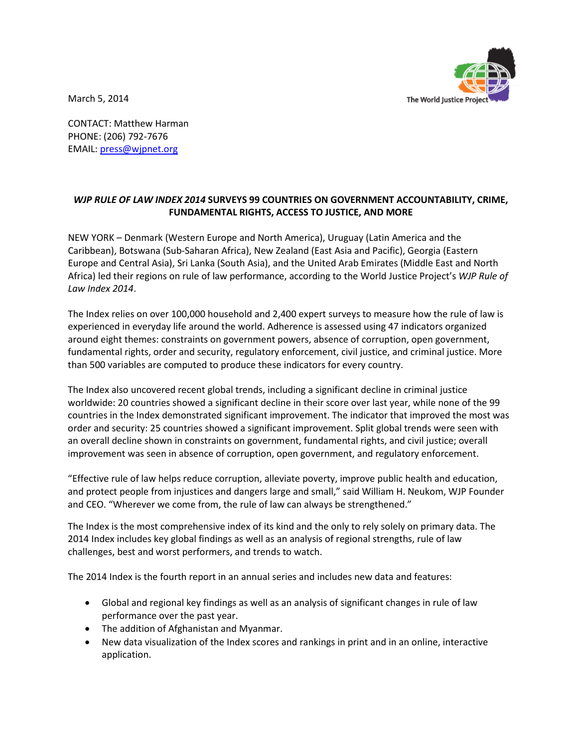March 5, 2014



CONTACT: Matthew Harman PHONE: (206) 792-7676 EMAIL: [press@wjpnet.org](mailto:press@wjpnet.org)

## *WJP RULE OF LAW INDEX 2014* **SURVEYS 99 COUNTRIES ON GOVERNMENT ACCOUNTABILITY, CRIME, FUNDAMENTAL RIGHTS, ACCESS TO JUSTICE, AND MORE**

NEW YORK – Denmark (Western Europe and North America), Uruguay (Latin America and the Caribbean), Botswana (Sub-Saharan Africa), New Zealand (East Asia and Pacific), Georgia (Eastern Europe and Central Asia), Sri Lanka (South Asia), and the United Arab Emirates (Middle East and North Africa) led their regions on rule of law performance, according to the World Justice Project's *WJP Rule of Law Index 2014*.

The Index relies on over 100,000 household and 2,400 expert surveys to measure how the rule of law is experienced in everyday life around the world. Adherence is assessed using 47 indicators organized around eight themes: constraints on government powers, absence of corruption, open government, fundamental rights, order and security, regulatory enforcement, civil justice, and criminal justice. More than 500 variables are computed to produce these indicators for every country.

The Index also uncovered recent global trends, including a significant decline in criminal justice worldwide: 20 countries showed a significant decline in their score over last year, while none of the 99 countries in the Index demonstrated significant improvement. The indicator that improved the most was order and security: 25 countries showed a significant improvement. Split global trends were seen with an overall decline shown in constraints on government, fundamental rights, and civil justice; overall improvement was seen in absence of corruption, open government, and regulatory enforcement.

"Effective rule of law helps reduce corruption, alleviate poverty, improve public health and education, and protect people from injustices and dangers large and small," said William H. Neukom, WJP Founder and CEO. "Wherever we come from, the rule of law can always be strengthened."

The Index is the most comprehensive index of its kind and the only to rely solely on primary data. The 2014 Index includes key global findings as well as an analysis of regional strengths, rule of law challenges, best and worst performers, and trends to watch.

The 2014 Index is the fourth report in an annual series and includes new data and features:

- Global and regional key findings as well as an analysis of significant changes in rule of law performance over the past year.
- The addition of Afghanistan and Myanmar.
- New data visualization of the Index scores and rankings in print and in an online, interactive application.